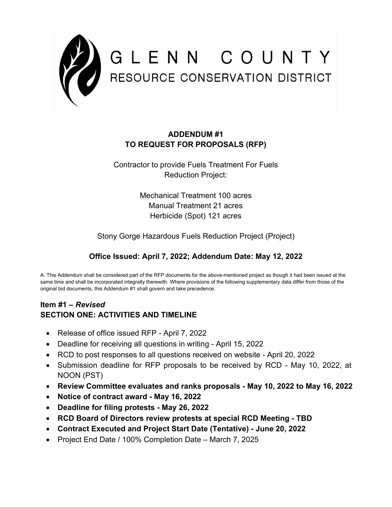

## **ADDENDUM #1 TO REQUEST FOR PROPOSALS (RFP)**

## Contractor to provide Fuels Treatment For Fuels Reduction Project:

Mechanical Treatment 100 acres Manual Treatment 21 acres Herbicide (Spot) 121 acres

Stony Gorge Hazardous Fuels Reduction Project (Project)

## **Office Issued: April 7, 2022; Addendum Date: May 12, 2022**

A. This Addendum shall be considered part of the RFP documents for the above-mentioned project as though it had been issued at the same time and shall be incorporated integrally therewith. Where provisions of the following supplementary data differ from those of the original bid documents, this Addendum #1 shall govern and take precedence.

## **Item #1 –** *Revised*  **SECTION ONE: ACTIVITIES AND TIMELINE**

- Release of office issued RFP April 7, 2022
- Deadline for receiving all questions in writing April 15, 2022
- RCD to post responses to all questions received on website April 20, 2022
- Submission deadline for RFP proposals to be received by RCD May 10, 2022, at NOON (PST)
- **Review Committee evaluates and ranks proposals - May 10, 2022 to May 16, 2022**
- **Notice of contract award - May 16, 2022**
- **Deadline for filing protests - May 26, 2022**
- **RCD Board of Directors review protests at special RCD Meeting - TBD**
- **Contract Executed and Project Start Date (Tentative) - June 20, 2022**
- Project End Date / 100% Completion Date March 7, 2025